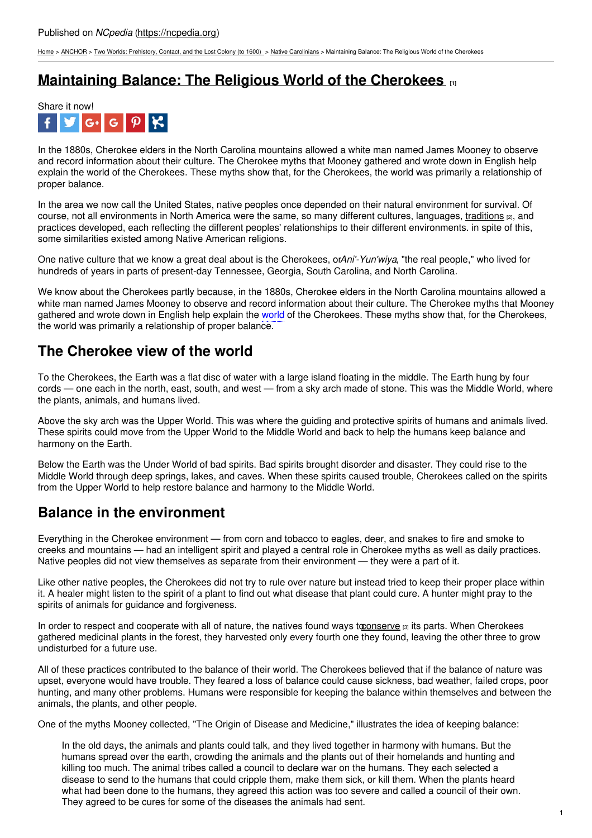[Home](https://ncpedia.org/) > [ANCHOR](https://ncpedia.org/anchor/anchor) > Two Worlds: [Prehistory,](https://ncpedia.org/anchor/two-worlds-prehistory) Contact, and the Lost Colony (to 1600) > Native [Carolinians](https://ncpedia.org/anchor/native-carolinians) > Maintaining Balance: The Religious World of the Cherokees

# **[Maintaining](https://ncpedia.org/anchor/maintaining-balance) Balance: The Religious World of the Cherokees [1]**



In the 1880s, Cherokee elders in the North Carolina mountains allowed a white man named James Mooney to observe and record information about their culture. The Cherokee myths that Mooney gathered and wrote down in English help explain the world of the Cherokees. These myths show that, for the Cherokees, the world was primarily a relationship of proper balance.

In the area we now call the United States, native peoples once depended on their natural environment for survival. Of course, not all environments in North America were the same, so many different cultures, languages, [traditions](https://ncpedia.org/glossary/traditions) [2], and practices developed, each reflecting the different peoples' relationships to their different environments. in spite of this, some similarities existed among Native American religions.

One native culture that we know a great deal about is the Cherokees, or*Ani'-Yun'wiya*, "the real people," who lived for hundreds of years in parts of present-day [Tennessee,](http://www.social9.com) Georgia, South Carolina, and North Carolina.

We know about the Cherokees partly because, in the 1880s, Cherokee elders in the North Carolina mountains allowed a white man named James Mooney to observe and record information about their culture. The Cherokee myths that Mooney gathered and wrote down in English help explain the world of the Cherokees. These myths show that, for the Cherokees, the world was primarily a relationship of proper balance.

#### **The Cherokee view of the world**

To the Cherokees, the Earth was a flat disc of water with a large island floating in the middle. The Earth hung by four cords — one each in the north, east, south, and west — from a sky arch made of stone. This was the Middle World, where the plants, animals, and humans lived.

Above the sky arch was the Upper World. This was where the guiding and protective spirits of humans and animals lived. These spirits could move from the Upper World to the Middle World and back to help the humans keep balance and harmony on the Earth.

Below the Earth was the Under World of bad spirits. Bad spirits brought disorder and disaster. They could rise to the Middle World through deep springs, lakes, and caves. When these spirits caused trouble, Cherokees called on the spirits from the Upper World to help restore balance and harmony to the Middle World.

#### **Balance in the environment**

Everything in the Cherokee environment — from corn and tobacco to eagles, deer, and snakes to fire and smoke to creeks and mountains — had an intelligent spirit and played a central role in Cherokee myths as well as daily practices. Native peoples did not view themselves as separate from their environment — they were a part of it.

Like other native peoples, the Cherokees did not try to rule over nature but instead tried to keep their proper place within it. A healer might listen to the spirit of a plant to find out what disease that plant could cure. A hunter might pray to the spirits of animals for quidance and forgiveness.

In order to respect and cooperate with all of nature, the natives found ways to conserve (3) its parts. When Cherokees gathered medicinal plants in the forest, they harvested only every fourth one they found, leaving the other three to grow undisturbed for a future use.

All of these practices contributed to the balance of their world. The Cherokees believed that if the balance of nature was upset, everyone would have trouble. They feared a loss of balance could cause sickness, bad weather, failed crops, poor hunting, and many other problems. Humans were responsible for keeping the balance within themselves and between the animals, the plants, and other people.

One of the myths Mooney collected, "The Origin of Disease and Medicine," illustrates the idea of keeping balance:

In the old days, the animals and plants could talk, and they lived together in harmony with humans. But the humans spread over the earth, crowding the animals and the plants out of their homelands and hunting and killing too much. The animal tribes called a council to declare war on the humans. They each selected a disease to send to the humans that could cripple them, make them sick, or kill them. When the plants heard what had been done to the humans, they agreed this action was too severe and called a council of their own. They agreed to be cures for some of the diseases the animals had sent.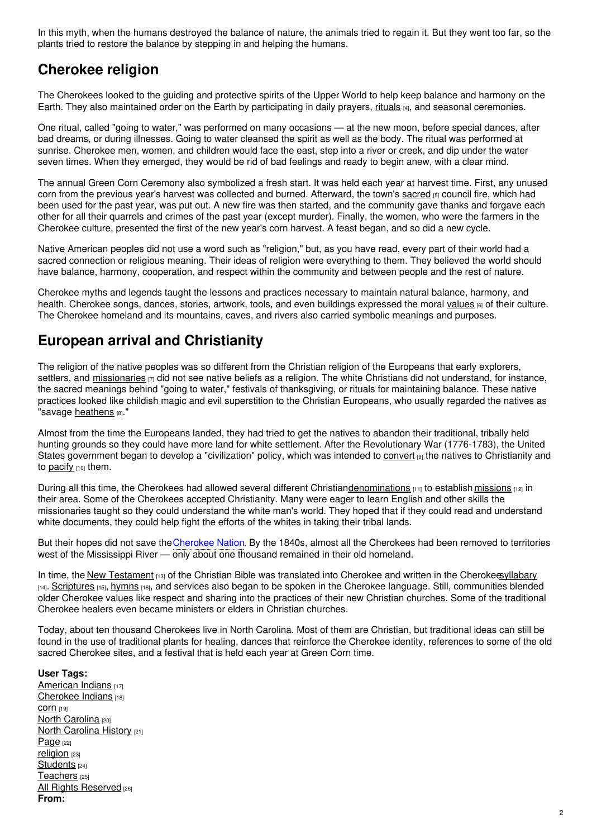In this myth, when the humans destroyed the balance of nature, the animals tried to regain it. But they went too far, so the plants tried to restore the balance by stepping in and helping the humans.

# **Cherokee religion**

The Cherokees looked to the guiding and protective spirits of the Upper World to help keep balance and harmony on the Earth. They also maintained order on the Earth by participating in daily prayers, [rituals](https://ncpedia.org/glossary/rituals) [4], and seasonal ceremonies.

One ritual, called "going to water," was performed on many occasions — at the new moon, before special dances, after bad dreams, or during illnesses. Going to water cleansed the spirit as well as the body. The ritual was performed at sunrise. Cherokee men, women, and children would face the east, step into a river or creek, and dip under the water seven times. When they emerged, they would be rid of bad feelings and ready to begin anew, with a clear mind.

The annual Green Corn Ceremony also symbolized a fresh start. It was held each year at harvest time. First, any unused corn from the previous year's harvest was collected and burned. Afterward, the town's [sacred](https://ncpedia.org/glossary/sacred) [5] council fire, which had been used for the past year, was put out. A new fire was then started, and the community gave thanks and forgave each other for all their quarrels and crimes of the past year (except murder). Finally, the women, who were the farmers in the Cherokee culture, presented the first of the new year's corn harvest. A feast began, and so did a new cycle.

Native American peoples did not use a word such as "religion," but, as you have read, every part of their world had a sacred connection or religious meaning. Their ideas of religion were everything to them. They believed the world should have balance, harmony, cooperation, and respect within the community and between people and the rest of nature.

Cherokee myths and legends taught the lessons and practices necessary to maintain natural balance, harmony, and health. Cherokee songs, dances, stories, artwork, tools, and even buildings expressed the moral [values](https://ncpedia.org/glossary/values) [6] of their culture. The Cherokee homeland and its mountains, caves, and rivers also carried symbolic meanings and purposes.

# **European arrival and Christianity**

The religion of the native peoples was so different from the Christian religion of the Europeans that early explorers, settlers, and [missionaries](https://ncpedia.org/glossary/missionaries)  $\sigma$  did not see native beliefs as a religion. The white Christians did not understand, for instance, the sacred meanings behind "going to water," festivals of thanksgiving, or rituals for maintaining balance. These native practices looked like childish magic and evil superstition to the Christian Europeans, who usually regarded the natives as "savage [heathens](https://ncpedia.org/glossary/heathen) [8]."

Almost from the time the Europeans landed, they had tried to get the natives to abandon their traditional, tribally held hunting grounds so they could have more land for white settlement. After the Revolutionary War (1776-1783), the United States government began to develop a "civilization" policy, which was intended to [convert](https://ncpedia.org/glossary/convert) [9] the natives to Christianity and to [pacify](https://ncpedia.org/glossary/pacify)  $[10]$  them.

During all this time, the Cherokees had allowed several different Christian[denominations](https://ncpedia.org/glossary/denomination)  $\mu_1$  to establish [missions](https://ncpedia.org/glossary/mission)  $\mu_2$  in their area. Some of the Cherokees accepted Christianity. Many were eager to learn English and other skills the missionaries taught so they could understand the white man's world. They hoped that if they could read and understand white documents, they could help fight the efforts of the whites in taking their tribal lands.

But their hopes did not save theCherokee Nation. By the 1840s, almost all the Cherokees had been removed to territories west of the Mississippi River — only about one thousand remained in their old homeland.

In time, the New [Testament](https://ncpedia.org/glossary/New-Testament) [13] of the Christian Bible was translated into Cherokee and written in the Cheroke[esyllabary](https://ncpedia.org/glossary/syllabary) [14]. [Scriptures](https://ncpedia.org/glossary/scriptures) [15], [hymns](https://ncpedia.org/glossary/hymn) [16], and services also began to be spoken in the Cherokee language. Still, communities blended older Cherokee values like respect and sharing into the practices of their new Christian churches. Some of the traditional Cherokee healers even became ministers or elders in Christian churches.

Today, about ten thousand Cherokees live in North Carolina. Most of them are Christian, but traditional ideas can still be found in the use of traditional plants for healing, dances that reinforce the Cherokee identity, references to some of the old sacred Cherokee sites, and a festival that is held each year at Green Corn time.

**User Tags:** [American](https://ncpedia.org/category/user-tags/american-indians) Indians [17] [Cherokee](https://ncpedia.org/category/user-tags/cherokee-indians) Indians [18] CO<sub>I</sub>n [19] North [Carolina](https://ncpedia.org/category/user-tags/north-carolina-5) [20] North [Carolina](https://ncpedia.org/category/user-tags/north-carolina-6) History [21] [Page](https://ncpedia.org/category/user-tags/page) [22] [religion](https://ncpedia.org/category/user-tags/religion) [23] [Students](https://ncpedia.org/category/user-tags/students) [24] [Teachers](https://ncpedia.org/category/user-tags/teachers) [25] All Rights [Reserved](https://ncpedia.org/category/user-tags/all-rights) [26] **From:**